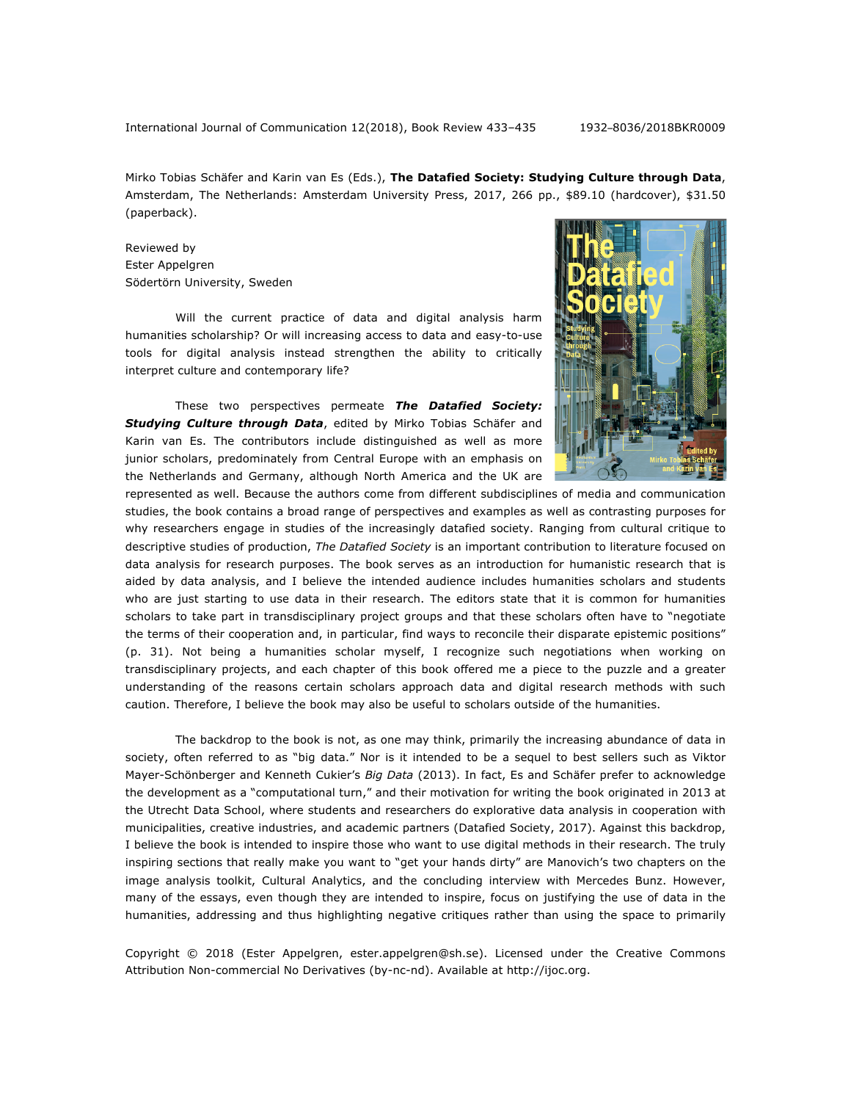Mirko Tobias Schäfer and Karin van Es (Eds.), **The Datafied Society: Studying Culture through Data**, Amsterdam, The Netherlands: Amsterdam University Press, 2017, 266 pp., \$89.10 (hardcover), \$31.50 (paperback).

Reviewed by Ester Appelgren Södertörn University, Sweden

Will the current practice of data and digital analysis harm humanities scholarship? Or will increasing access to data and easy-to-use tools for digital analysis instead strengthen the ability to critically interpret culture and contemporary life?

These two perspectives permeate *The Datafied Society: Studying Culture through Data*, edited by Mirko Tobias Schäfer and Karin van Es. The contributors include distinguished as well as more junior scholars, predominately from Central Europe with an emphasis on the Netherlands and Germany, although North America and the UK are



represented as well. Because the authors come from different subdisciplines of media and communication studies, the book contains a broad range of perspectives and examples as well as contrasting purposes for why researchers engage in studies of the increasingly datafied society. Ranging from cultural critique to descriptive studies of production, *The Datafied Society* is an important contribution to literature focused on data analysis for research purposes. The book serves as an introduction for humanistic research that is aided by data analysis, and I believe the intended audience includes humanities scholars and students who are just starting to use data in their research. The editors state that it is common for humanities scholars to take part in transdisciplinary project groups and that these scholars often have to "negotiate the terms of their cooperation and, in particular, find ways to reconcile their disparate epistemic positions" (p. 31). Not being a humanities scholar myself, I recognize such negotiations when working on transdisciplinary projects, and each chapter of this book offered me a piece to the puzzle and a greater understanding of the reasons certain scholars approach data and digital research methods with such caution. Therefore, I believe the book may also be useful to scholars outside of the humanities.

The backdrop to the book is not, as one may think, primarily the increasing abundance of data in society, often referred to as "big data." Nor is it intended to be a sequel to best sellers such as Viktor Mayer-Schönberger and Kenneth Cukier's *Big Data* (2013). In fact, Es and Schäfer prefer to acknowledge the development as a "computational turn," and their motivation for writing the book originated in 2013 at the Utrecht Data School, where students and researchers do explorative data analysis in cooperation with municipalities, creative industries, and academic partners (Datafied Society, 2017). Against this backdrop, I believe the book is intended to inspire those who want to use digital methods in their research. The truly inspiring sections that really make you want to "get your hands dirty" are Manovich's two chapters on the image analysis toolkit, Cultural Analytics, and the concluding interview with Mercedes Bunz. However, many of the essays, even though they are intended to inspire, focus on justifying the use of data in the humanities, addressing and thus highlighting negative critiques rather than using the space to primarily

Copyright © 2018 (Ester Appelgren, ester.appelgren@sh.se). Licensed under the Creative Commons Attribution Non-commercial No Derivatives (by-nc-nd). Available at http://ijoc.org.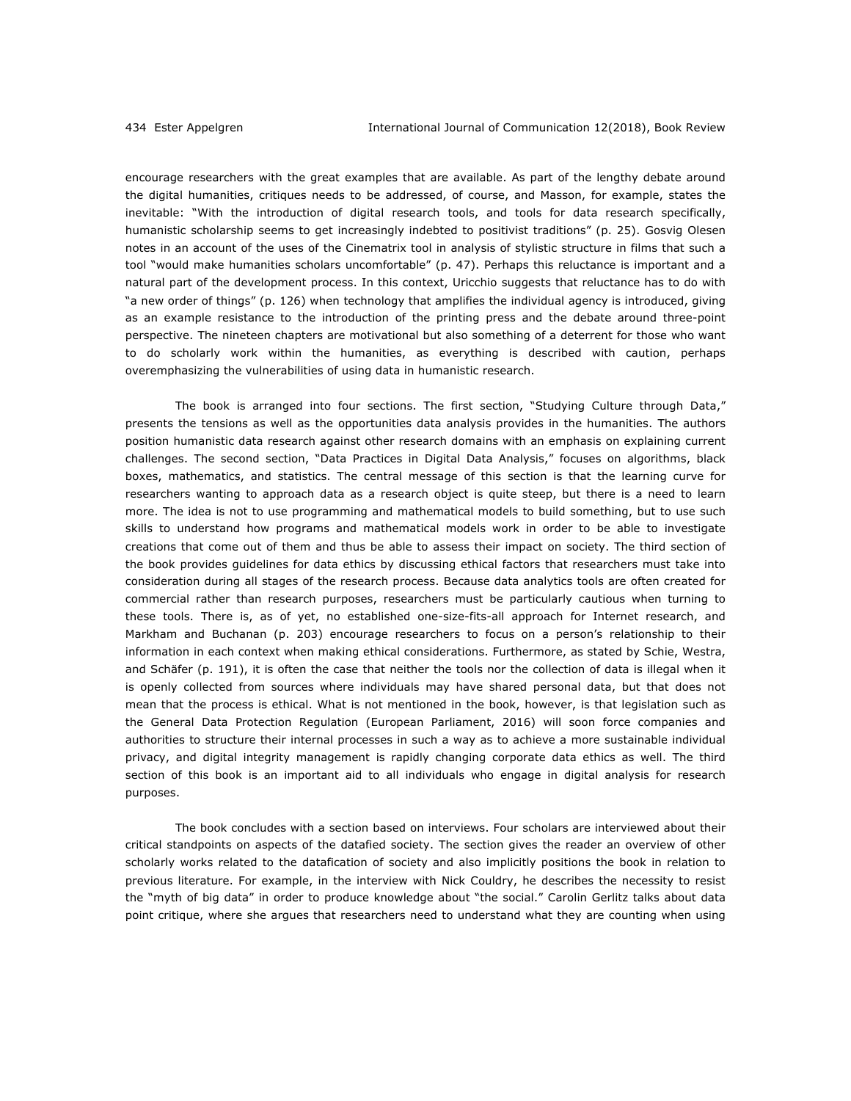encourage researchers with the great examples that are available. As part of the lengthy debate around the digital humanities, critiques needs to be addressed, of course, and Masson, for example, states the inevitable: "With the introduction of digital research tools, and tools for data research specifically, humanistic scholarship seems to get increasingly indebted to positivist traditions" (p. 25). Gosvig Olesen notes in an account of the uses of the Cinematrix tool in analysis of stylistic structure in films that such a tool "would make humanities scholars uncomfortable" (p. 47). Perhaps this reluctance is important and a natural part of the development process. In this context, Uricchio suggests that reluctance has to do with "a new order of things" (p. 126) when technology that amplifies the individual agency is introduced, giving as an example resistance to the introduction of the printing press and the debate around three-point perspective. The nineteen chapters are motivational but also something of a deterrent for those who want to do scholarly work within the humanities, as everything is described with caution, perhaps overemphasizing the vulnerabilities of using data in humanistic research.

The book is arranged into four sections. The first section, "Studying Culture through Data," presents the tensions as well as the opportunities data analysis provides in the humanities. The authors position humanistic data research against other research domains with an emphasis on explaining current challenges. The second section, "Data Practices in Digital Data Analysis," focuses on algorithms, black boxes, mathematics, and statistics. The central message of this section is that the learning curve for researchers wanting to approach data as a research object is quite steep, but there is a need to learn more. The idea is not to use programming and mathematical models to build something, but to use such skills to understand how programs and mathematical models work in order to be able to investigate creations that come out of them and thus be able to assess their impact on society. The third section of the book provides guidelines for data ethics by discussing ethical factors that researchers must take into consideration during all stages of the research process. Because data analytics tools are often created for commercial rather than research purposes, researchers must be particularly cautious when turning to these tools. There is, as of yet, no established one-size-fits-all approach for Internet research, and Markham and Buchanan (p. 203) encourage researchers to focus on a person's relationship to their information in each context when making ethical considerations. Furthermore, as stated by Schie, Westra, and Schäfer (p. 191), it is often the case that neither the tools nor the collection of data is illegal when it is openly collected from sources where individuals may have shared personal data, but that does not mean that the process is ethical. What is not mentioned in the book, however, is that legislation such as the General Data Protection Regulation (European Parliament, 2016) will soon force companies and authorities to structure their internal processes in such a way as to achieve a more sustainable individual privacy, and digital integrity management is rapidly changing corporate data ethics as well. The third section of this book is an important aid to all individuals who engage in digital analysis for research purposes.

The book concludes with a section based on interviews. Four scholars are interviewed about their critical standpoints on aspects of the datafied society. The section gives the reader an overview of other scholarly works related to the datafication of society and also implicitly positions the book in relation to previous literature. For example, in the interview with Nick Couldry, he describes the necessity to resist the "myth of big data" in order to produce knowledge about "the social." Carolin Gerlitz talks about data point critique, where she argues that researchers need to understand what they are counting when using